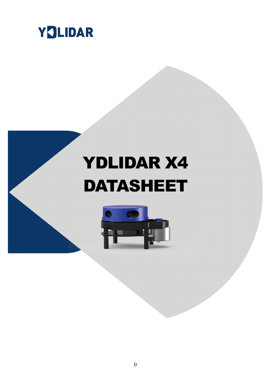

# YDLIDAR X4 DATASHEET

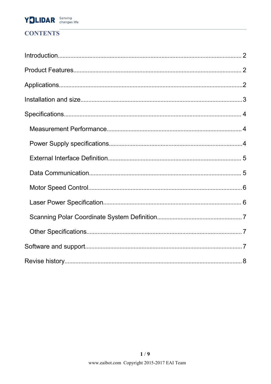# YOLIDAR Sensing

# **CONTENTS**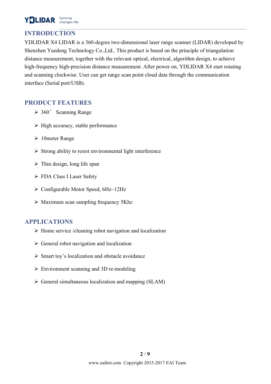# YOLIDAR Sensing

# <span id="page-2-0"></span>**INTRODUCTION**

YDLIDAR X4 LIDAR is a 360-degree two-dimensional laser range scanner (LIDAR) developed by Shenzhen Yuedeng Technology Co.,Ltd.. This product is based on the principle of triangulation distance measurement, together with the relevant optical, electrical, algorithm design, to achieve high-frequency high-precision distance measurement. After power on, YDLIDAR X4 start rotating and scanning clockwise. User can get range scan point cloud data through the communication interface (Serial port/USB).

# **PRODUCT FEATURES**

- $\geq 360^\circ$  Scanning Range
- $\triangleright$  High accuracy, stable performance
- $\geq 10$ meter Range
- $\triangleright$  Strong ability to resist environmental light interference
- $\triangleright$  Thin design, long life span
- FDA Class I Laser Safety
- $\triangleright$  Configurable Motor Speed, 6Hz~12Hz
- $\triangleright$  Maximum scan sampling frequency 5Khz

# **APPLICATIONS**

- $\triangleright$  Home service /cleaning robot navigation and localization
- $\triangleright$  General robot navigation and localization
- $\triangleright$  Smart toy's localization and obstacle avoidance
- $\triangleright$  Environment scanning and 3D re-modeling
- $\triangleright$  General simultaneous localization and mapping (SLAM)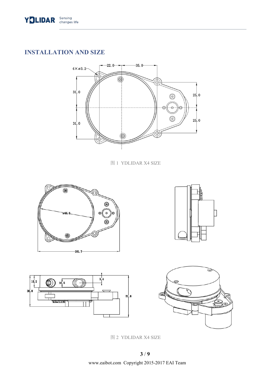<span id="page-3-0"></span>

# **INSTALLATION AND SIZE**



图 1 YDLIDAR X4 SIZE









图 2 YDLIDAR X4 SIZE

www.eaibot.com Copyright 2015-2017 EAI Team **3** / **9**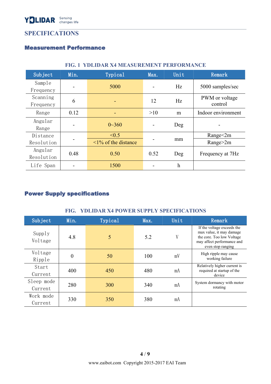# <span id="page-4-0"></span>**SPECIFICATIONS**

#### Measurement Performance

| Subject    | Min.                     | Typical                   | Max.           | Unit | Remark             |  |
|------------|--------------------------|---------------------------|----------------|------|--------------------|--|
| Sample     |                          | 5000                      |                | Hz   | 5000 samples/sec   |  |
| Frequency  | $\overline{\phantom{a}}$ |                           |                |      |                    |  |
| Scanning   | 6                        |                           | 12             | Hz   | PWM or voltage     |  |
| Frequency  |                          | ٠                         |                |      | control            |  |
| Range      | 0.12                     | $\overline{\phantom{a}}$  | >10            | m    | Indoor environment |  |
| Angular    |                          | $0 - 360$                 |                |      |                    |  |
| Range      |                          |                           | $\overline{a}$ | Deg  |                    |  |
| Distance   |                          | < 0.5                     |                |      | Range<2m           |  |
| Resolution |                          | $\leq$ 1% of the distance |                | mm   | Range $>2m$        |  |
| Angular    | 0.48                     | 0.50                      | 0.52           |      |                    |  |
| Resolution |                          |                           |                | Deg  | Frequency at 7Hz   |  |
| Life Span  |                          | 1500                      |                | h    |                    |  |
|            |                          |                           |                |      |                    |  |

## **FIG. 1 YDLIDAR X4 MEASUREMENT PERFORMANCE**

# Power Supply specifications

#### **FIG. YDLIDAR X4 POWER SUPPLY SPECIFICATIONS**

| Subject               | Min.           | Typical | Max. | Unit | Remark                                                                                                                                 |
|-----------------------|----------------|---------|------|------|----------------------------------------------------------------------------------------------------------------------------------------|
| Supply<br>Voltage     | 4.8            | 5       | 5.2  | V    | If the voltage exceeds the<br>max value, it may damage<br>the core. Too low Voltage<br>may affect performance and<br>even stop ranging |
| Voltage<br>Ripple     | $\overline{0}$ | 50      | 100  | mV   | High ripple may cause<br>working failure                                                                                               |
| Start<br>Current      | 400            | 450     | 480  | mA   | Relatively higher current is<br>required at startup of the<br>device                                                                   |
| Sleep mode<br>Current | 280            | 300     | 340  | mA   | System dormancy with motor<br>rotating                                                                                                 |
| Work mode<br>Current  | 330            | 350     | 380  | mA   |                                                                                                                                        |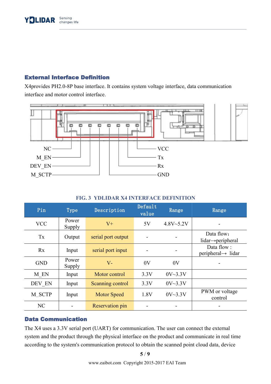## <span id="page-5-0"></span>External Interface Definition

X4provides PH2.0-8P base interface. It contains system voltage interface, data communication interface and motor control interface.



#### **FIG. 3 YDLIDAR X4 INTERFACE DEFINITION**

| Pin        | Type            | Description        | Default<br>value         | Range                    | Range                                        |
|------------|-----------------|--------------------|--------------------------|--------------------------|----------------------------------------------|
| <b>VCC</b> | Power<br>Supply | $V^+$              | 5V                       | $4.8V - 5.2V$            | $\overline{\phantom{0}}$                     |
| Tx         | Output          | serial port output | $\blacksquare$           | $\blacksquare$           | Data flow:<br>$lidar \rightarrow peripheral$ |
| Rx         | Input           | serial port input  | $\overline{\phantom{a}}$ | $\overline{\phantom{a}}$ | Data flow:<br>$peripheral \rightarrow lidar$ |
| <b>GND</b> | Power<br>Supply | $V -$              | 0V                       | 0V                       |                                              |
| M_EN       | Input           | Motor control      | 3.3V                     | 0V~3.3V                  |                                              |
| DEV EN     | Input           | Scanning control   | 3.3V                     | 0V~3.3V                  |                                              |
| M SCTP     | Input           | <b>Motor Speed</b> | 1.8V                     | 0V~3.3V                  | PWM or voltage<br>control                    |
| NC         |                 | Reservation pin    |                          |                          |                                              |

## Data Communication

The X4 uses a 3.3V serial port (UART) for communication. The user can connect the external system and the product through the physical interface on the product and communicate in real time according to the system's communication protocol to obtain the scanned point cloud data, device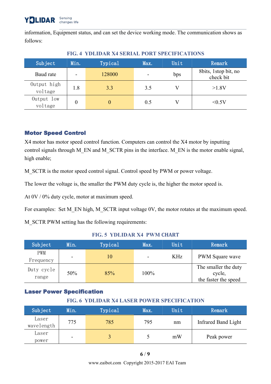<span id="page-6-0"></span>information, Equipment status, and can set the device working mode. The communication shows as follows:

| Subject                | Min.                     | Typical        | Max.                     | Unit | Remark                            |
|------------------------|--------------------------|----------------|--------------------------|------|-----------------------------------|
| Baud rate              | $\overline{\phantom{0}}$ | 128000         | $\overline{\phantom{a}}$ | bps  | 8bits, 1stop bit, no<br>check bit |
| Output high<br>voltage | 1.8                      | 3.3            | 3.5                      | V    | >1.8V                             |
| Output low<br>voltage  | 0                        | $\overline{0}$ | 0.5                      | V    | <0.5V                             |

## **FIG. 4 YDLIDAR X4 SERIAL PORT SPECIFICATIONS**

# Motor Speed Control

X4 motor has motor speed control function. Computers can control the X4 motor by inputting control signals through M\_EN and M\_SCTR pins in the interface. M\_EN is the motor enable signal, high enable;

M\_SCTR is the motor speed control signal. Control speed by PWM or power voltage.

The lower the voltage is, the smaller the PWM duty cycle is, the higher the motor speed is.

At 0V / 0% duty cycle, motor at maximum speed.

For examples: Set M\_EN high, M\_SCTR input voltage 0V, the motor rotates at the maximum speed.

M\_SCTR PWM setting has the following requirements:

#### **FIG. 5 YDLIDAR X4 PWM CHART**

| Subject             | Min.                     | Typical | Max.                     | Unit | Remark                                                 |
|---------------------|--------------------------|---------|--------------------------|------|--------------------------------------------------------|
| PWM<br>Frequency    | $\overline{\phantom{a}}$ | 10      | $\overline{\phantom{a}}$ | KHz  | PWM Square wave                                        |
| Duty cycle<br>range | 50%                      | 85%     | 100%                     |      | The smaller the duty<br>cycle,<br>the faster the speed |

# Laser Power Specification

## **FIG. 6 YDLIDAR X4 LASER POWER SPECIFICATION**

| Subject             | Min. | Typical | Max. | Unit | Remark                     |
|---------------------|------|---------|------|------|----------------------------|
| Laser<br>wavelength | 775  | 785     | 795  | nm   | <b>Infrared Band Light</b> |
| Laser<br>power      | -    |         |      | mW   | Peak power                 |

www.eaibot.com Copyright 2015-2017 EAI Team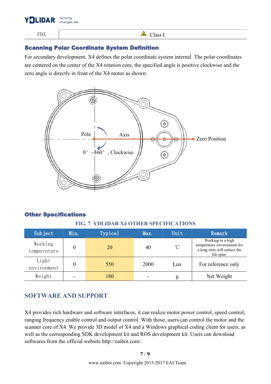

<span id="page-7-0"></span>FDA  $\Box$ 

## Scanning Polar Coordinate System Definition

For secondary development, X4 defines the polar coordinate system internal. The polar coordinates are centered on the center of the X4 rotation core, the specified angle is positive clockwise and the zero angle is directly in front of the X4 motor as shown:



#### Other Specifications

#### **FIG. 7 YDLIDAR X4 OTHER SPECIFICATIONS**

| Subject                | Min. | Typical | Max. | Unit       | Remark                                                                                        |
|------------------------|------|---------|------|------------|-----------------------------------------------------------------------------------------------|
| Working<br>temperature |      | 20      | 40   | $^{\circ}$ | Working in a high<br>temperature environment for<br>a long time will reduce the<br>life span. |
| Light<br>environment   |      | 550     | 2000 | Lux        | For reference only                                                                            |
| Weight                 |      | 180     |      | g          | Net Weight                                                                                    |

# **SOFTWARE AND SUPPORT**

X4 provides rich hardware and software interfaces, it can realize motor power control, speed control, ranging frequency enable control and output control. With those, users can control the motor and the scanner core of X4. We provide 3D model of X4 and a Windows graphical coding client for users, as well as the corresponding SDK development kit and ROS development kit. Users can download softwares from the official website http://eaibot.com/.